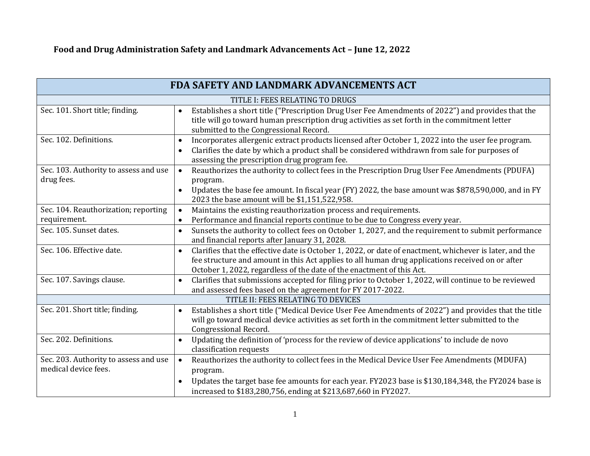| FDA SAFETY AND LANDMARK ADVANCEMENTS ACT                      |                                                                                                                                                                                                                                                                                                   |
|---------------------------------------------------------------|---------------------------------------------------------------------------------------------------------------------------------------------------------------------------------------------------------------------------------------------------------------------------------------------------|
|                                                               | TITLE I: FEES RELATING TO DRUGS                                                                                                                                                                                                                                                                   |
| Sec. 101. Short title; finding.                               | Establishes a short title ("Prescription Drug User Fee Amendments of 2022") and provides that the<br>title will go toward human prescription drug activities as set forth in the commitment letter<br>submitted to the Congressional Record.                                                      |
| Sec. 102. Definitions.                                        | Incorporates allergenic extract products licensed after October 1, 2022 into the user fee program.<br>$\bullet$<br>Clarifies the date by which a product shall be considered withdrawn from sale for purposes of<br>assessing the prescription drug program fee.                                  |
| Sec. 103. Authority to assess and use<br>drug fees.           | Reauthorizes the authority to collect fees in the Prescription Drug User Fee Amendments (PDUFA)<br>$\bullet$<br>program.                                                                                                                                                                          |
|                                                               | Updates the base fee amount. In fiscal year (FY) 2022, the base amount was \$878,590,000, and in FY<br>$\bullet$<br>2023 the base amount will be \$1,151,522,958.                                                                                                                                 |
| Sec. 104. Reauthorization; reporting                          | Maintains the existing reauthorization process and requirements.<br>$\bullet$                                                                                                                                                                                                                     |
| requirement.                                                  | Performance and financial reports continue to be due to Congress every year.<br>$\bullet$                                                                                                                                                                                                         |
| Sec. 105. Sunset dates.                                       | Sunsets the authority to collect fees on October 1, 2027, and the requirement to submit performance<br>and financial reports after January 31, 2028.                                                                                                                                              |
| Sec. 106. Effective date.                                     | Clarifies that the effective date is October 1, 2022, or date of enactment, whichever is later, and the<br>$\bullet$<br>fee structure and amount in this Act applies to all human drug applications received on or after<br>October 1, 2022, regardless of the date of the enactment of this Act. |
| Sec. 107. Savings clause.                                     | Clarifies that submissions accepted for filing prior to October 1, 2022, will continue to be reviewed<br>$\bullet$<br>and assessed fees based on the agreement for FY 2017-2022.                                                                                                                  |
|                                                               | TITLE II: FEES RELATING TO DEVICES                                                                                                                                                                                                                                                                |
| Sec. 201. Short title; finding.                               | Establishes a short title ("Medical Device User Fee Amendments of 2022") and provides that the title<br>will go toward medical device activities as set forth in the commitment letter submitted to the<br>Congressional Record.                                                                  |
| Sec. 202. Definitions.                                        | Updating the definition of 'process for the review of device applications' to include de novo<br>$\bullet$<br>classification requests                                                                                                                                                             |
| Sec. 203. Authority to assess and use<br>medical device fees. | Reauthorizes the authority to collect fees in the Medical Device User Fee Amendments (MDUFA)<br>program.                                                                                                                                                                                          |
|                                                               | Updates the target base fee amounts for each year. FY2023 base is \$130,184,348, the FY2024 base is<br>increased to \$183,280,756, ending at \$213,687,660 in FY2027.                                                                                                                             |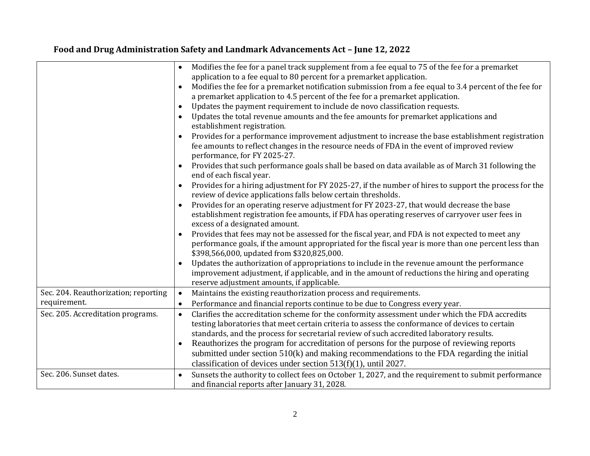|                                      | Modifies the fee for a panel track supplement from a fee equal to 75 of the fee for a premarket<br>application to a fee equal to 80 percent for a premarket application.<br>Modifies the fee for a premarket notification submission from a fee equal to 3.4 percent of the fee for<br>a premarket application to 4.5 percent of the fee for a premarket application.<br>Updates the payment requirement to include de novo classification requests.<br>$\bullet$<br>Updates the total revenue amounts and the fee amounts for premarket applications and<br>establishment registration.<br>Provides for a performance improvement adjustment to increase the base establishment registration<br>fee amounts to reflect changes in the resource needs of FDA in the event of improved review<br>performance, for FY 2025-27.<br>Provides that such performance goals shall be based on data available as of March 31 following the<br>end of each fiscal year.<br>Provides for a hiring adjustment for FY 2025-27, if the number of hires to support the process for the<br>review of device applications falls below certain thresholds.<br>Provides for an operating reserve adjustment for FY 2023-27, that would decrease the base<br>establishment registration fee amounts, if FDA has operating reserves of carryover user fees in<br>excess of a designated amount.<br>Provides that fees may not be assessed for the fiscal year, and FDA is not expected to meet any<br>$\bullet$<br>performance goals, if the amount appropriated for the fiscal year is more than one percent less than<br>\$398,566,000, updated from \$320,825,000. |
|--------------------------------------|---------------------------------------------------------------------------------------------------------------------------------------------------------------------------------------------------------------------------------------------------------------------------------------------------------------------------------------------------------------------------------------------------------------------------------------------------------------------------------------------------------------------------------------------------------------------------------------------------------------------------------------------------------------------------------------------------------------------------------------------------------------------------------------------------------------------------------------------------------------------------------------------------------------------------------------------------------------------------------------------------------------------------------------------------------------------------------------------------------------------------------------------------------------------------------------------------------------------------------------------------------------------------------------------------------------------------------------------------------------------------------------------------------------------------------------------------------------------------------------------------------------------------------------------------------------------------------------------------------------------------------------------------|
|                                      | Updates the authorization of appropriations to include in the revenue amount the performance<br>improvement adjustment, if applicable, and in the amount of reductions the hiring and operating<br>reserve adjustment amounts, if applicable.                                                                                                                                                                                                                                                                                                                                                                                                                                                                                                                                                                                                                                                                                                                                                                                                                                                                                                                                                                                                                                                                                                                                                                                                                                                                                                                                                                                                     |
| Sec. 204. Reauthorization; reporting | Maintains the existing reauthorization process and requirements.<br>$\bullet$                                                                                                                                                                                                                                                                                                                                                                                                                                                                                                                                                                                                                                                                                                                                                                                                                                                                                                                                                                                                                                                                                                                                                                                                                                                                                                                                                                                                                                                                                                                                                                     |
| requirement.                         | Performance and financial reports continue to be due to Congress every year.<br>$\bullet$                                                                                                                                                                                                                                                                                                                                                                                                                                                                                                                                                                                                                                                                                                                                                                                                                                                                                                                                                                                                                                                                                                                                                                                                                                                                                                                                                                                                                                                                                                                                                         |
| Sec. 205. Accreditation programs.    | Clarifies the accreditation scheme for the conformity assessment under which the FDA accredits<br>$\bullet$<br>testing laboratories that meet certain criteria to assess the conformance of devices to certain<br>standards, and the process for secretarial review of such accredited laboratory results.<br>Reauthorizes the program for accreditation of persons for the purpose of reviewing reports<br>$\bullet$<br>submitted under section 510(k) and making recommendations to the FDA regarding the initial<br>classification of devices under section $513(f)(1)$ , until 2027.                                                                                                                                                                                                                                                                                                                                                                                                                                                                                                                                                                                                                                                                                                                                                                                                                                                                                                                                                                                                                                                          |
| Sec. 206. Sunset dates.              | Sunsets the authority to collect fees on October 1, 2027, and the requirement to submit performance<br>$\bullet$<br>and financial reports after January 31, 2028.                                                                                                                                                                                                                                                                                                                                                                                                                                                                                                                                                                                                                                                                                                                                                                                                                                                                                                                                                                                                                                                                                                                                                                                                                                                                                                                                                                                                                                                                                 |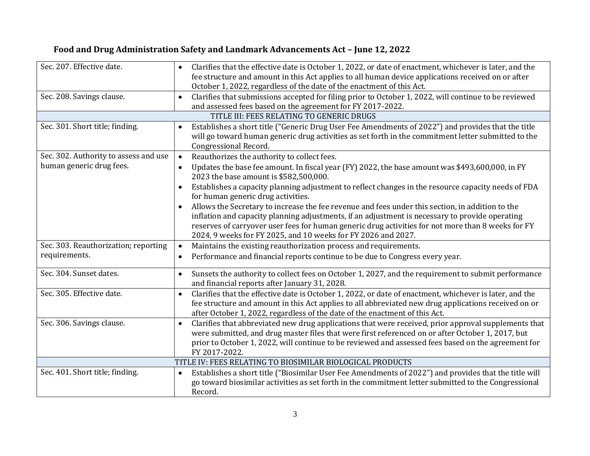| Sec. 207. Effective date.             | Clarifies that the effective date is October 1, 2022, or date of enactment, whichever is later, and the<br>fee structure and amount in this Act applies to all human device applications received on or after                                                                                                                                  |
|---------------------------------------|------------------------------------------------------------------------------------------------------------------------------------------------------------------------------------------------------------------------------------------------------------------------------------------------------------------------------------------------|
|                                       | October 1, 2022, regardless of the date of the enactment of this Act.                                                                                                                                                                                                                                                                          |
| Sec. 208. Savings clause.             | Clarifies that submissions accepted for filing prior to October 1, 2022, will continue to be reviewed<br>$\bullet$                                                                                                                                                                                                                             |
|                                       | and assessed fees based on the agreement for FY 2017-2022.                                                                                                                                                                                                                                                                                     |
|                                       | TITLE III: FEES RELATING TO GENERIC DRUGS                                                                                                                                                                                                                                                                                                      |
| Sec. 301. Short title; finding.       | Establishes a short title ("Generic Drug User Fee Amendments of 2022") and provides that the title<br>$\bullet$<br>will go toward human generic drug activities as set forth in the commitment letter submitted to the<br>Congressional Record.                                                                                                |
| Sec. 302. Authority to assess and use | Reauthorizes the authority to collect fees.<br>$\bullet$                                                                                                                                                                                                                                                                                       |
| human generic drug fees.              | Updates the base fee amount. In fiscal year (FY) 2022, the base amount was \$493,600,000, in FY<br>$\bullet$<br>2023 the base amount is \$582,500,000.                                                                                                                                                                                         |
|                                       | Establishes a capacity planning adjustment to reflect changes in the resource capacity needs of FDA<br>for human generic drug activities.                                                                                                                                                                                                      |
|                                       | Allows the Secretary to increase the fee revenue and fees under this section, in addition to the                                                                                                                                                                                                                                               |
|                                       | inflation and capacity planning adjustments, if an adjustment is necessary to provide operating                                                                                                                                                                                                                                                |
|                                       | reserves of carryover user fees for human generic drug activities for not more than 8 weeks for FY<br>2024, 9 weeks for FY 2025, and 10 weeks for FY 2026 and 2027.                                                                                                                                                                            |
| Sec. 303. Reauthorization; reporting  | Maintains the existing reauthorization process and requirements.<br>$\bullet$                                                                                                                                                                                                                                                                  |
| requirements.                         | Performance and financial reports continue to be due to Congress every year.<br>$\bullet$                                                                                                                                                                                                                                                      |
| Sec. 304. Sunset dates.               | Sunsets the authority to collect fees on October 1, 2027, and the requirement to submit performance<br>and financial reports after January 31, 2028.                                                                                                                                                                                           |
| Sec. 305. Effective date.             | Clarifies that the effective date is October 1, 2022, or date of enactment, whichever is later, and the<br>$\bullet$<br>fee structure and amount in this Act applies to all abbreviated new drug applications received on or<br>after October 1, 2022, regardless of the date of the enactment of this Act.                                    |
| Sec. 306. Savings clause.             | Clarifies that abbreviated new drug applications that were received, prior approval supplements that<br>$\bullet$<br>were submitted, and drug master files that were first referenced on or after October 1, 2017, but<br>prior to October 1, 2022, will continue to be reviewed and assessed fees based on the agreement for<br>FY 2017-2022. |
|                                       | TITLE IV: FEES RELATING TO BIOSIMILAR BIOLOGICAL PRODUCTS                                                                                                                                                                                                                                                                                      |
| Sec. 401. Short title; finding.       | Establishes a short title ("Biosimilar User Fee Amendments of 2022") and provides that the title will<br>go toward biosimilar activities as set forth in the commitment letter submitted to the Congressional<br>Record.                                                                                                                       |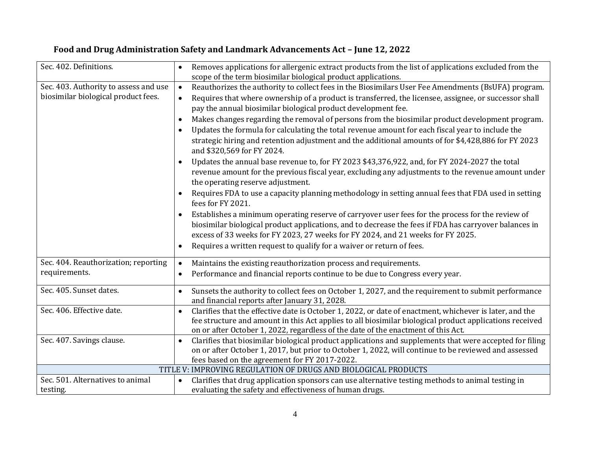| Sec. 402. Definitions.                | Removes applications for allergenic extract products from the list of applications excluded from the                                                                                         |
|---------------------------------------|----------------------------------------------------------------------------------------------------------------------------------------------------------------------------------------------|
|                                       | scope of the term biosimilar biological product applications.                                                                                                                                |
| Sec. 403. Authority to assess and use | Reauthorizes the authority to collect fees in the Biosimilars User Fee Amendments (BsUFA) program.<br>$\bullet$                                                                              |
| biosimilar biological product fees.   | Requires that where ownership of a product is transferred, the licensee, assignee, or successor shall<br>$\bullet$                                                                           |
|                                       | pay the annual biosimilar biological product development fee.                                                                                                                                |
|                                       | Makes changes regarding the removal of persons from the biosimilar product development program.                                                                                              |
|                                       | Updates the formula for calculating the total revenue amount for each fiscal year to include the                                                                                             |
|                                       | strategic hiring and retention adjustment and the additional amounts of for \$4,428,886 for FY 2023<br>and \$320,569 for FY 2024.                                                            |
|                                       | Updates the annual base revenue to, for FY 2023 \$43,376,922, and, for FY 2024-2027 the total                                                                                                |
|                                       | revenue amount for the previous fiscal year, excluding any adjustments to the revenue amount under<br>the operating reserve adjustment.                                                      |
|                                       | Requires FDA to use a capacity planning methodology in setting annual fees that FDA used in setting<br>fees for FY 2021.                                                                     |
|                                       | Establishes a minimum operating reserve of carryover user fees for the process for the review of                                                                                             |
|                                       | biosimilar biological product applications, and to decrease the fees if FDA has carryover balances in                                                                                        |
|                                       | excess of 33 weeks for FY 2023, 27 weeks for FY 2024, and 21 weeks for FY 2025.                                                                                                              |
|                                       | Requires a written request to qualify for a waiver or return of fees.<br>$\bullet$                                                                                                           |
| Sec. 404. Reauthorization; reporting  | Maintains the existing reauthorization process and requirements.<br>$\bullet$                                                                                                                |
| requirements.                         | Performance and financial reports continue to be due to Congress every year.<br>$\bullet$                                                                                                    |
| Sec. 405. Sunset dates.               | Sunsets the authority to collect fees on October 1, 2027, and the requirement to submit performance<br>$\bullet$<br>and financial reports after January 31, 2028.                            |
| Sec. 406. Effective date.             | Clarifies that the effective date is October 1, 2022, or date of enactment, whichever is later, and the<br>$\bullet$                                                                         |
|                                       | fee structure and amount in this Act applies to all biosimilar biological product applications received<br>on or after October 1, 2022, regardless of the date of the enactment of this Act. |
| Sec. 407. Savings clause.             | Clarifies that biosimilar biological product applications and supplements that were accepted for filing<br>$\bullet$                                                                         |
|                                       | on or after October 1, 2017, but prior to October 1, 2022, will continue to be reviewed and assessed                                                                                         |
|                                       | fees based on the agreement for FY 2017-2022.                                                                                                                                                |
|                                       | TITLE V: IMPROVING REGULATION OF DRUGS AND BIOLOGICAL PRODUCTS                                                                                                                               |
| Sec. 501. Alternatives to animal      | Clarifies that drug application sponsors can use alternative testing methods to animal testing in<br>$\bullet$                                                                               |
| testing.                              | evaluating the safety and effectiveness of human drugs.                                                                                                                                      |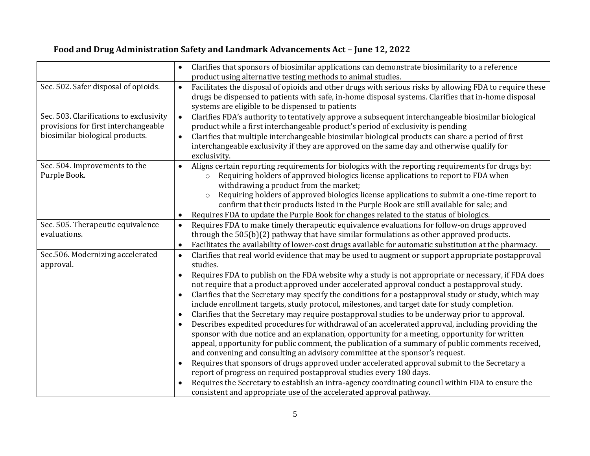|                                                                                                                    | Clarifies that sponsors of biosimilar applications can demonstrate biosimilarity to a reference<br>product using alternative testing methods to animal studies.                                                                                                                                                                                                                                                                                                                                                                                                                                                                                                                                                                                                                                                                                                                                                                                                                                                                                                                                                                                                                                                                                                                                                                                                                                                          |
|--------------------------------------------------------------------------------------------------------------------|--------------------------------------------------------------------------------------------------------------------------------------------------------------------------------------------------------------------------------------------------------------------------------------------------------------------------------------------------------------------------------------------------------------------------------------------------------------------------------------------------------------------------------------------------------------------------------------------------------------------------------------------------------------------------------------------------------------------------------------------------------------------------------------------------------------------------------------------------------------------------------------------------------------------------------------------------------------------------------------------------------------------------------------------------------------------------------------------------------------------------------------------------------------------------------------------------------------------------------------------------------------------------------------------------------------------------------------------------------------------------------------------------------------------------|
| Sec. 502. Safer disposal of opioids.                                                                               | Facilitates the disposal of opioids and other drugs with serious risks by allowing FDA to require these<br>$\bullet$<br>drugs be dispensed to patients with safe, in-home disposal systems. Clarifies that in-home disposal<br>systems are eligible to be dispensed to patients                                                                                                                                                                                                                                                                                                                                                                                                                                                                                                                                                                                                                                                                                                                                                                                                                                                                                                                                                                                                                                                                                                                                          |
| Sec. 503. Clarifications to exclusivity<br>provisions for first interchangeable<br>biosimilar biological products. | Clarifies FDA's authority to tentatively approve a subsequent interchangeable biosimilar biological<br>$\bullet$<br>product while a first interchangeable product's period of exclusivity is pending<br>Clarifies that multiple interchangeable biosimilar biological products can share a period of first<br>$\bullet$<br>interchangeable exclusivity if they are approved on the same day and otherwise qualify for<br>exclusivity.                                                                                                                                                                                                                                                                                                                                                                                                                                                                                                                                                                                                                                                                                                                                                                                                                                                                                                                                                                                    |
| Sec. 504. Improvements to the<br>Purple Book.                                                                      | Aligns certain reporting requirements for biologics with the reporting requirements for drugs by:<br>$\bullet$<br>Requiring holders of approved biologics license applications to report to FDA when<br>$\circ$<br>withdrawing a product from the market;<br>Requiring holders of approved biologics license applications to submit a one-time report to<br>$\circ$<br>confirm that their products listed in the Purple Book are still available for sale; and<br>Requires FDA to update the Purple Book for changes related to the status of biologics.<br>$\bullet$                                                                                                                                                                                                                                                                                                                                                                                                                                                                                                                                                                                                                                                                                                                                                                                                                                                    |
| Sec. 505. Therapeutic equivalence<br>evaluations.                                                                  | Requires FDA to make timely therapeutic equivalence evaluations for follow-on drugs approved<br>$\bullet$<br>through the $505(b)(2)$ pathway that have similar formulations as other approved products.<br>Facilitates the availability of lower-cost drugs available for automatic substitution at the pharmacy.<br>$\bullet$                                                                                                                                                                                                                                                                                                                                                                                                                                                                                                                                                                                                                                                                                                                                                                                                                                                                                                                                                                                                                                                                                           |
| Sec.506. Modernizing accelerated<br>approval.                                                                      | Clarifies that real world evidence that may be used to augment or support appropriate postapproval<br>$\bullet$<br>studies.<br>Requires FDA to publish on the FDA website why a study is not appropriate or necessary, if FDA does<br>$\bullet$<br>not require that a product approved under accelerated approval conduct a postapproval study.<br>Clarifies that the Secretary may specify the conditions for a postapproval study or study, which may<br>include enrollment targets, study protocol, milestones, and target date for study completion.<br>Clarifies that the Secretary may require postapproval studies to be underway prior to approval.<br>Describes expedited procedures for withdrawal of an accelerated approval, including providing the<br>sponsor with due notice and an explanation, opportunity for a meeting, opportunity for written<br>appeal, opportunity for public comment, the publication of a summary of public comments received,<br>and convening and consulting an advisory committee at the sponsor's request.<br>Requires that sponsors of drugs approved under accelerated approval submit to the Secretary a<br>$\bullet$<br>report of progress on required postapproval studies every 180 days.<br>Requires the Secretary to establish an intra-agency coordinating council within FDA to ensure the<br>consistent and appropriate use of the accelerated approval pathway. |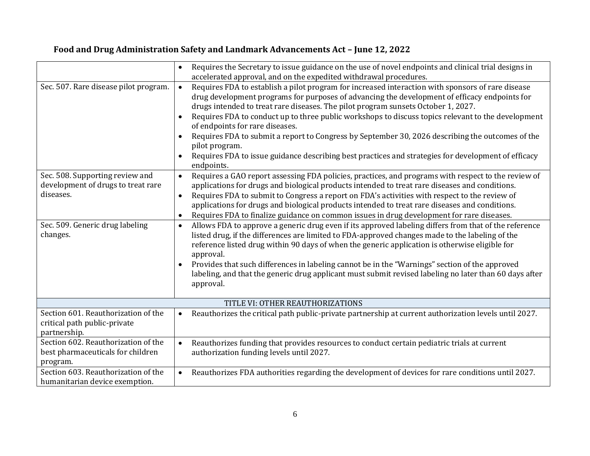|                                                                                                                                   | Requires the Secretary to issue guidance on the use of novel endpoints and clinical trial designs in<br>$\bullet$<br>accelerated approval, and on the expedited withdrawal procedures.                                                                                                                                                                                                                                                                                                                                                                                                                                                                                                                                                                                                                                                                                  |  |
|-----------------------------------------------------------------------------------------------------------------------------------|-------------------------------------------------------------------------------------------------------------------------------------------------------------------------------------------------------------------------------------------------------------------------------------------------------------------------------------------------------------------------------------------------------------------------------------------------------------------------------------------------------------------------------------------------------------------------------------------------------------------------------------------------------------------------------------------------------------------------------------------------------------------------------------------------------------------------------------------------------------------------|--|
| Sec. 507. Rare disease pilot program.                                                                                             | Requires FDA to establish a pilot program for increased interaction with sponsors of rare disease<br>$\bullet$<br>drug development programs for purposes of advancing the development of efficacy endpoints for<br>drugs intended to treat rare diseases. The pilot program sunsets October 1, 2027.<br>Requires FDA to conduct up to three public workshops to discuss topics relevant to the development<br>of endpoints for rare diseases.<br>Requires FDA to submit a report to Congress by September 30, 2026 describing the outcomes of the<br>pilot program.<br>Requires FDA to issue guidance describing best practices and strategies for development of efficacy                                                                                                                                                                                              |  |
|                                                                                                                                   | endpoints.                                                                                                                                                                                                                                                                                                                                                                                                                                                                                                                                                                                                                                                                                                                                                                                                                                                              |  |
| Sec. 508. Supporting review and<br>development of drugs to treat rare<br>diseases.<br>Sec. 509. Generic drug labeling<br>changes. | Requires a GAO report assessing FDA policies, practices, and programs with respect to the review of<br>$\bullet$<br>applications for drugs and biological products intended to treat rare diseases and conditions.<br>Requires FDA to submit to Congress a report on FDA's activities with respect to the review of<br>$\bullet$<br>applications for drugs and biological products intended to treat rare diseases and conditions.<br>Requires FDA to finalize guidance on common issues in drug development for rare diseases.<br>$\bullet$<br>Allows FDA to approve a generic drug even if its approved labeling differs from that of the reference<br>$\bullet$<br>listed drug, if the differences are limited to FDA-approved changes made to the labeling of the<br>reference listed drug within 90 days of when the generic application is otherwise eligible for |  |
|                                                                                                                                   | approval.                                                                                                                                                                                                                                                                                                                                                                                                                                                                                                                                                                                                                                                                                                                                                                                                                                                               |  |
|                                                                                                                                   | Provides that such differences in labeling cannot be in the "Warnings" section of the approved<br>labeling, and that the generic drug applicant must submit revised labeling no later than 60 days after<br>approval.                                                                                                                                                                                                                                                                                                                                                                                                                                                                                                                                                                                                                                                   |  |
| TITLE VI: OTHER REAUTHORIZATIONS                                                                                                  |                                                                                                                                                                                                                                                                                                                                                                                                                                                                                                                                                                                                                                                                                                                                                                                                                                                                         |  |
| Section 601. Reauthorization of the<br>critical path public-private<br>partnership.                                               | Reauthorizes the critical path public-private partnership at current authorization levels until 2027.<br>$\bullet$                                                                                                                                                                                                                                                                                                                                                                                                                                                                                                                                                                                                                                                                                                                                                      |  |
| Section 602. Reauthorization of the<br>best pharmaceuticals for children<br>program.                                              | Reauthorizes funding that provides resources to conduct certain pediatric trials at current<br>$\bullet$<br>authorization funding levels until 2027.                                                                                                                                                                                                                                                                                                                                                                                                                                                                                                                                                                                                                                                                                                                    |  |
| Section 603. Reauthorization of the<br>humanitarian device exemption.                                                             | Reauthorizes FDA authorities regarding the development of devices for rare conditions until 2027.<br>$\bullet$                                                                                                                                                                                                                                                                                                                                                                                                                                                                                                                                                                                                                                                                                                                                                          |  |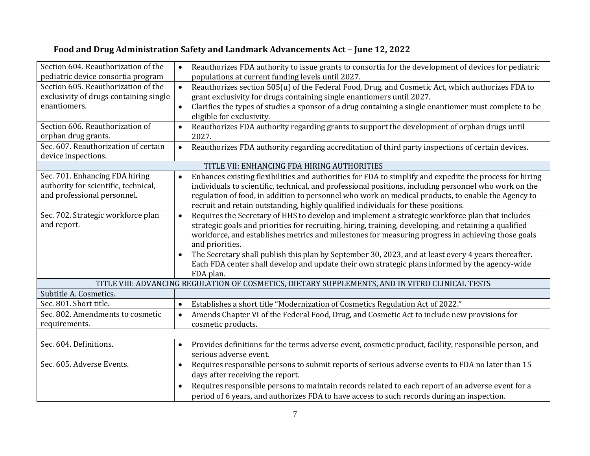| Section 604. Reauthorization of the    | Reauthorizes FDA authority to issue grants to consortia for the development of devices for pediatric                                                                                            |  |
|----------------------------------------|-------------------------------------------------------------------------------------------------------------------------------------------------------------------------------------------------|--|
| pediatric device consortia program     | populations at current funding levels until 2027.                                                                                                                                               |  |
| Section 605. Reauthorization of the    | Reauthorizes section 505(u) of the Federal Food, Drug, and Cosmetic Act, which authorizes FDA to<br>$\bullet$                                                                                   |  |
| exclusivity of drugs containing single | grant exclusivity for drugs containing single enantiomers until 2027.                                                                                                                           |  |
| enantiomers.                           | Clarifies the types of studies a sponsor of a drug containing a single enantiomer must complete to be<br>$\bullet$<br>eligible for exclusivity.                                                 |  |
| Section 606. Reauthorization of        | Reauthorizes FDA authority regarding grants to support the development of orphan drugs until<br>$\bullet$                                                                                       |  |
| orphan drug grants.                    | 2027.                                                                                                                                                                                           |  |
| Sec. 607. Reauthorization of certain   | Reauthorizes FDA authority regarding accreditation of third party inspections of certain devices.<br>$\bullet$                                                                                  |  |
| device inspections.                    |                                                                                                                                                                                                 |  |
|                                        | TITLE VII: ENHANCING FDA HIRING AUTHORITIES                                                                                                                                                     |  |
| Sec. 701. Enhancing FDA hiring         | Enhances existing flexibilities and authorities for FDA to simplify and expedite the process for hiring                                                                                         |  |
| authority for scientific, technical,   | individuals to scientific, technical, and professional positions, including personnel who work on the                                                                                           |  |
| and professional personnel.            | regulation of food, in addition to personnel who work on medical products, to enable the Agency to                                                                                              |  |
|                                        | recruit and retain outstanding, highly qualified individuals for these positions.                                                                                                               |  |
| Sec. 702. Strategic workforce plan     | Requires the Secretary of HHS to develop and implement a strategic workforce plan that includes<br>$\bullet$                                                                                    |  |
| and report.                            | strategic goals and priorities for recruiting, hiring, training, developing, and retaining a qualified                                                                                          |  |
|                                        | workforce, and establishes metrics and milestones for measuring progress in achieving those goals                                                                                               |  |
|                                        | and priorities.                                                                                                                                                                                 |  |
|                                        | The Secretary shall publish this plan by September 30, 2023, and at least every 4 years thereafter.                                                                                             |  |
|                                        | Each FDA center shall develop and update their own strategic plans informed by the agency-wide                                                                                                  |  |
|                                        | FDA plan.                                                                                                                                                                                       |  |
|                                        | TITLE VIII: ADVANCING REGULATION OF COSMETICS, DIETARY SUPPLEMENTS, AND IN VITRO CLINICAL TESTS                                                                                                 |  |
| Subtitle A. Cosmetics.                 |                                                                                                                                                                                                 |  |
| Sec. 801. Short title.                 | Establishes a short title "Modernization of Cosmetics Regulation Act of 2022."<br>$\bullet$                                                                                                     |  |
| Sec. 802. Amendments to cosmetic       | Amends Chapter VI of the Federal Food, Drug, and Cosmetic Act to include new provisions for<br>$\bullet$                                                                                        |  |
| requirements.                          | cosmetic products.                                                                                                                                                                              |  |
|                                        |                                                                                                                                                                                                 |  |
| Sec. 604. Definitions.                 | Provides definitions for the terms adverse event, cosmetic product, facility, responsible person, and<br>$\bullet$                                                                              |  |
|                                        | serious adverse event.                                                                                                                                                                          |  |
| Sec. 605. Adverse Events.              | Requires responsible persons to submit reports of serious adverse events to FDA no later than 15<br>$\bullet$                                                                                   |  |
|                                        | days after receiving the report.                                                                                                                                                                |  |
|                                        |                                                                                                                                                                                                 |  |
|                                        |                                                                                                                                                                                                 |  |
|                                        | Requires responsible persons to maintain records related to each report of an adverse event for a<br>period of 6 years, and authorizes FDA to have access to such records during an inspection. |  |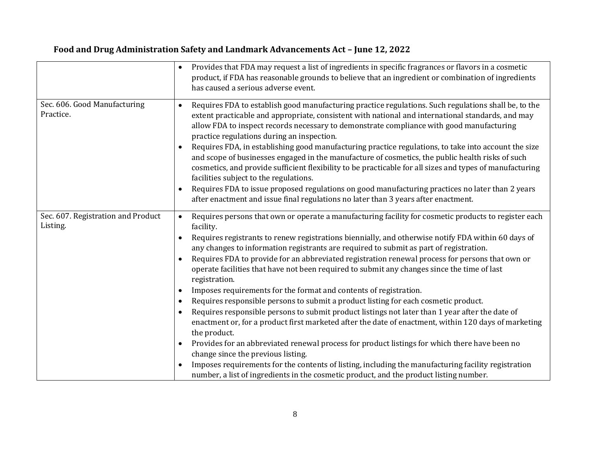|                                                | Provides that FDA may request a list of ingredients in specific fragrances or flavors in a cosmetic<br>product, if FDA has reasonable grounds to believe that an ingredient or combination of ingredients<br>has caused a serious adverse event.                                                                                                                                                                                                                                                                                                                                                                                                                                                                                                                                                                                                                                                                                                                                                                                                                                                                                                                                                                                                                                 |
|------------------------------------------------|----------------------------------------------------------------------------------------------------------------------------------------------------------------------------------------------------------------------------------------------------------------------------------------------------------------------------------------------------------------------------------------------------------------------------------------------------------------------------------------------------------------------------------------------------------------------------------------------------------------------------------------------------------------------------------------------------------------------------------------------------------------------------------------------------------------------------------------------------------------------------------------------------------------------------------------------------------------------------------------------------------------------------------------------------------------------------------------------------------------------------------------------------------------------------------------------------------------------------------------------------------------------------------|
| Sec. 606. Good Manufacturing<br>Practice.      | Requires FDA to establish good manufacturing practice regulations. Such regulations shall be, to the<br>$\bullet$<br>extent practicable and appropriate, consistent with national and international standards, and may<br>allow FDA to inspect records necessary to demonstrate compliance with good manufacturing<br>practice regulations during an inspection.<br>Requires FDA, in establishing good manufacturing practice regulations, to take into account the size<br>and scope of businesses engaged in the manufacture of cosmetics, the public health risks of such<br>cosmetics, and provide sufficient flexibility to be practicable for all sizes and types of manufacturing<br>facilities subject to the regulations.<br>Requires FDA to issue proposed regulations on good manufacturing practices no later than 2 years                                                                                                                                                                                                                                                                                                                                                                                                                                           |
|                                                | after enactment and issue final regulations no later than 3 years after enactment.                                                                                                                                                                                                                                                                                                                                                                                                                                                                                                                                                                                                                                                                                                                                                                                                                                                                                                                                                                                                                                                                                                                                                                                               |
| Sec. 607. Registration and Product<br>Listing. | Requires persons that own or operate a manufacturing facility for cosmetic products to register each<br>$\bullet$<br>facility.<br>Requires registrants to renew registrations biennially, and otherwise notify FDA within 60 days of<br>any changes to information registrants are required to submit as part of registration.<br>Requires FDA to provide for an abbreviated registration renewal process for persons that own or<br>operate facilities that have not been required to submit any changes since the time of last<br>registration.<br>Imposes requirements for the format and contents of registration.<br>Requires responsible persons to submit a product listing for each cosmetic product.<br>Requires responsible persons to submit product listings not later than 1 year after the date of<br>enactment or, for a product first marketed after the date of enactment, within 120 days of marketing<br>the product.<br>Provides for an abbreviated renewal process for product listings for which there have been no<br>change since the previous listing.<br>Imposes requirements for the contents of listing, including the manufacturing facility registration<br>number, a list of ingredients in the cosmetic product, and the product listing number. |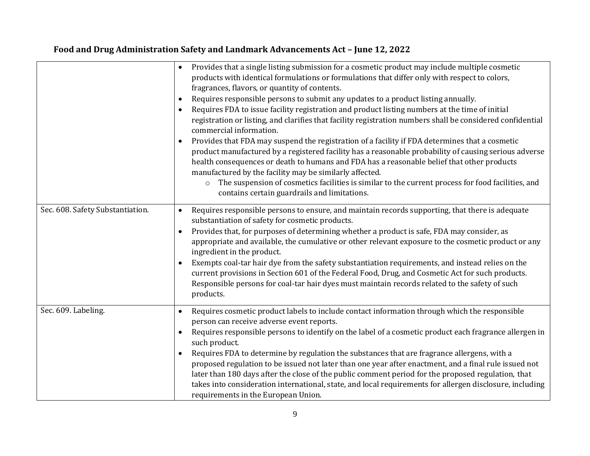|                                  | Provides that a single listing submission for a cosmetic product may include multiple cosmetic<br>products with identical formulations or formulations that differ only with respect to colors,<br>fragrances, flavors, or quantity of contents.<br>Requires responsible persons to submit any updates to a product listing annually.<br>$\bullet$<br>Requires FDA to issue facility registration and product listing numbers at the time of initial<br>registration or listing, and clarifies that facility registration numbers shall be considered confidential<br>commercial information.<br>Provides that FDA may suspend the registration of a facility if FDA determines that a cosmetic<br>product manufactured by a registered facility has a reasonable probability of causing serious adverse<br>health consequences or death to humans and FDA has a reasonable belief that other products<br>manufactured by the facility may be similarly affected.<br>The suspension of cosmetics facilities is similar to the current process for food facilities, and<br>$\circ$<br>contains certain guardrails and limitations. |
|----------------------------------|-----------------------------------------------------------------------------------------------------------------------------------------------------------------------------------------------------------------------------------------------------------------------------------------------------------------------------------------------------------------------------------------------------------------------------------------------------------------------------------------------------------------------------------------------------------------------------------------------------------------------------------------------------------------------------------------------------------------------------------------------------------------------------------------------------------------------------------------------------------------------------------------------------------------------------------------------------------------------------------------------------------------------------------------------------------------------------------------------------------------------------------|
| Sec. 608. Safety Substantiation. | Requires responsible persons to ensure, and maintain records supporting, that there is adequate<br>$\bullet$<br>substantiation of safety for cosmetic products.<br>Provides that, for purposes of determining whether a product is safe, FDA may consider, as<br>$\bullet$<br>appropriate and available, the cumulative or other relevant exposure to the cosmetic product or any<br>ingredient in the product.<br>Exempts coal-tar hair dye from the safety substantiation requirements, and instead relies on the<br>current provisions in Section 601 of the Federal Food, Drug, and Cosmetic Act for such products.<br>Responsible persons for coal-tar hair dyes must maintain records related to the safety of such<br>products.                                                                                                                                                                                                                                                                                                                                                                                            |
| Sec. 609. Labeling.              | Requires cosmetic product labels to include contact information through which the responsible<br>$\bullet$<br>person can receive adverse event reports.<br>Requires responsible persons to identify on the label of a cosmetic product each fragrance allergen in<br>such product.<br>Requires FDA to determine by regulation the substances that are fragrance allergens, with a<br>$\bullet$<br>proposed regulation to be issued not later than one year after enactment, and a final rule issued not<br>later than 180 days after the close of the public comment period for the proposed regulation, that<br>takes into consideration international, state, and local requirements for allergen disclosure, including<br>requirements in the European Union.                                                                                                                                                                                                                                                                                                                                                                  |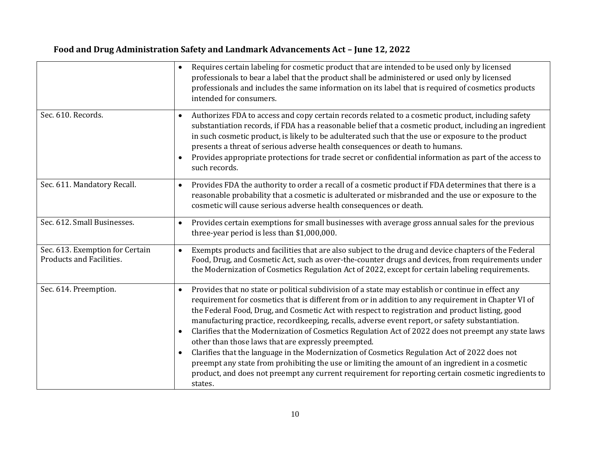|                                                             | Requires certain labeling for cosmetic product that are intended to be used only by licensed<br>professionals to bear a label that the product shall be administered or used only by licensed<br>professionals and includes the same information on its label that is required of cosmetics products<br>intended for consumers.                                                                                                                                                                                                                                                                                                                                                                                                                                                                                                                                                                                                 |
|-------------------------------------------------------------|---------------------------------------------------------------------------------------------------------------------------------------------------------------------------------------------------------------------------------------------------------------------------------------------------------------------------------------------------------------------------------------------------------------------------------------------------------------------------------------------------------------------------------------------------------------------------------------------------------------------------------------------------------------------------------------------------------------------------------------------------------------------------------------------------------------------------------------------------------------------------------------------------------------------------------|
| Sec. 610. Records.                                          | Authorizes FDA to access and copy certain records related to a cosmetic product, including safety<br>$\bullet$<br>substantiation records, if FDA has a reasonable belief that a cosmetic product, including an ingredient<br>in such cosmetic product, is likely to be adulterated such that the use or exposure to the product<br>presents a threat of serious adverse health consequences or death to humans.<br>Provides appropriate protections for trade secret or confidential information as part of the access to<br>such records.                                                                                                                                                                                                                                                                                                                                                                                      |
| Sec. 611. Mandatory Recall.                                 | Provides FDA the authority to order a recall of a cosmetic product if FDA determines that there is a<br>$\bullet$<br>reasonable probability that a cosmetic is adulterated or misbranded and the use or exposure to the<br>cosmetic will cause serious adverse health consequences or death.                                                                                                                                                                                                                                                                                                                                                                                                                                                                                                                                                                                                                                    |
| Sec. 612. Small Businesses.                                 | Provides certain exemptions for small businesses with average gross annual sales for the previous<br>$\bullet$<br>three-year period is less than \$1,000,000.                                                                                                                                                                                                                                                                                                                                                                                                                                                                                                                                                                                                                                                                                                                                                                   |
| Sec. 613. Exemption for Certain<br>Products and Facilities. | Exempts products and facilities that are also subject to the drug and device chapters of the Federal<br>$\bullet$<br>Food, Drug, and Cosmetic Act, such as over-the-counter drugs and devices, from requirements under<br>the Modernization of Cosmetics Regulation Act of 2022, except for certain labeling requirements.                                                                                                                                                                                                                                                                                                                                                                                                                                                                                                                                                                                                      |
| Sec. 614. Preemption.                                       | Provides that no state or political subdivision of a state may establish or continue in effect any<br>$\bullet$<br>requirement for cosmetics that is different from or in addition to any requirement in Chapter VI of<br>the Federal Food, Drug, and Cosmetic Act with respect to registration and product listing, good<br>manufacturing practice, recordkeeping, recalls, adverse event report, or safety substantiation.<br>Clarifies that the Modernization of Cosmetics Regulation Act of 2022 does not preempt any state laws<br>other than those laws that are expressly preempted.<br>Clarifies that the language in the Modernization of Cosmetics Regulation Act of 2022 does not<br>$\bullet$<br>preempt any state from prohibiting the use or limiting the amount of an ingredient in a cosmetic<br>product, and does not preempt any current requirement for reporting certain cosmetic ingredients to<br>states. |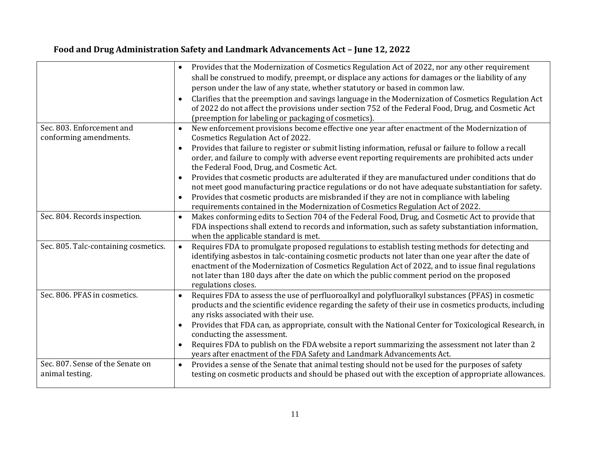|                                                     | Provides that the Modernization of Cosmetics Regulation Act of 2022, nor any other requirement<br>$\bullet$<br>shall be construed to modify, preempt, or displace any actions for damages or the liability of any<br>person under the law of any state, whether statutory or based in common law.<br>Clarifies that the preemption and savings language in the Modernization of Cosmetics Regulation Act<br>of 2022 do not affect the provisions under section 752 of the Federal Food, Drug, and Cosmetic Act<br>(preemption for labeling or packaging of cosmetics). |
|-----------------------------------------------------|------------------------------------------------------------------------------------------------------------------------------------------------------------------------------------------------------------------------------------------------------------------------------------------------------------------------------------------------------------------------------------------------------------------------------------------------------------------------------------------------------------------------------------------------------------------------|
| Sec. 803. Enforcement and                           | New enforcement provisions become effective one year after enactment of the Modernization of<br>$\bullet$                                                                                                                                                                                                                                                                                                                                                                                                                                                              |
| conforming amendments.                              | Cosmetics Regulation Act of 2022.<br>Provides that failure to register or submit listing information, refusal or failure to follow a recall                                                                                                                                                                                                                                                                                                                                                                                                                            |
|                                                     | order, and failure to comply with adverse event reporting requirements are prohibited acts under<br>the Federal Food, Drug, and Cosmetic Act.                                                                                                                                                                                                                                                                                                                                                                                                                          |
|                                                     | Provides that cosmetic products are adulterated if they are manufactured under conditions that do<br>not meet good manufacturing practice regulations or do not have adequate substantiation for safety.                                                                                                                                                                                                                                                                                                                                                               |
|                                                     | Provides that cosmetic products are misbranded if they are not in compliance with labeling<br>$\bullet$<br>requirements contained in the Modernization of Cosmetics Regulation Act of 2022.                                                                                                                                                                                                                                                                                                                                                                            |
| Sec. 804. Records inspection.                       | Makes conforming edits to Section 704 of the Federal Food, Drug, and Cosmetic Act to provide that<br>$\bullet$<br>FDA inspections shall extend to records and information, such as safety substantiation information,<br>when the applicable standard is met.                                                                                                                                                                                                                                                                                                          |
| Sec. 805. Talc-containing cosmetics.                | Requires FDA to promulgate proposed regulations to establish testing methods for detecting and<br>$\bullet$<br>identifying asbestos in talc-containing cosmetic products not later than one year after the date of<br>enactment of the Modernization of Cosmetics Regulation Act of 2022, and to issue final regulations<br>not later than 180 days after the date on which the public comment period on the proposed<br>regulations closes.                                                                                                                           |
| Sec. 806. PFAS in cosmetics.                        | Requires FDA to assess the use of perfluoroalkyl and polyfluoralkyl substances (PFAS) in cosmetic<br>$\bullet$<br>products and the scientific evidence regarding the safety of their use in cosmetics products, including<br>any risks associated with their use.                                                                                                                                                                                                                                                                                                      |
|                                                     | Provides that FDA can, as appropriate, consult with the National Center for Toxicological Research, in<br>conducting the assessment.                                                                                                                                                                                                                                                                                                                                                                                                                                   |
|                                                     | Requires FDA to publish on the FDA website a report summarizing the assessment not later than 2<br>years after enactment of the FDA Safety and Landmark Advancements Act.                                                                                                                                                                                                                                                                                                                                                                                              |
| Sec. 807. Sense of the Senate on<br>animal testing. | Provides a sense of the Senate that animal testing should not be used for the purposes of safety<br>$\bullet$<br>testing on cosmetic products and should be phased out with the exception of appropriate allowances.                                                                                                                                                                                                                                                                                                                                                   |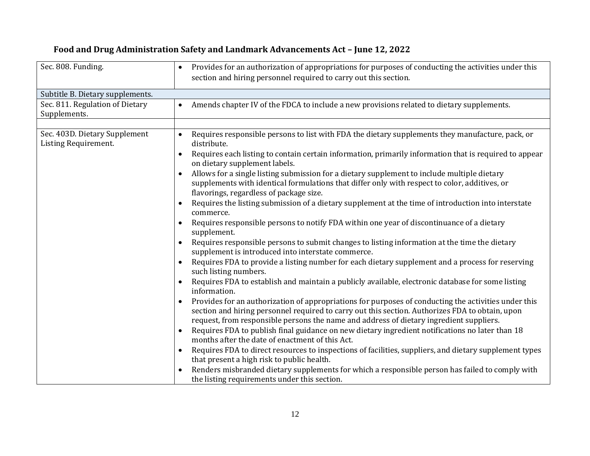| Sec. 808. Funding.                                    | Provides for an authorization of appropriations for purposes of conducting the activities under this<br>$\bullet$<br>section and hiring personnel required to carry out this section.                                                                                                                                                                                                                                                                                                                                                                                                                                                                                                                                                                                                                                                                                                                                                                                                                                                                                                                                                                                                                                                                                                                                                                                                                                                                                                                                                                                                                                                                                                                                                                                                                                                                                                                                                                                                               |
|-------------------------------------------------------|-----------------------------------------------------------------------------------------------------------------------------------------------------------------------------------------------------------------------------------------------------------------------------------------------------------------------------------------------------------------------------------------------------------------------------------------------------------------------------------------------------------------------------------------------------------------------------------------------------------------------------------------------------------------------------------------------------------------------------------------------------------------------------------------------------------------------------------------------------------------------------------------------------------------------------------------------------------------------------------------------------------------------------------------------------------------------------------------------------------------------------------------------------------------------------------------------------------------------------------------------------------------------------------------------------------------------------------------------------------------------------------------------------------------------------------------------------------------------------------------------------------------------------------------------------------------------------------------------------------------------------------------------------------------------------------------------------------------------------------------------------------------------------------------------------------------------------------------------------------------------------------------------------------------------------------------------------------------------------------------------------|
| Subtitle B. Dietary supplements.                      |                                                                                                                                                                                                                                                                                                                                                                                                                                                                                                                                                                                                                                                                                                                                                                                                                                                                                                                                                                                                                                                                                                                                                                                                                                                                                                                                                                                                                                                                                                                                                                                                                                                                                                                                                                                                                                                                                                                                                                                                     |
| Sec. 811. Regulation of Dietary<br>Supplements.       | Amends chapter IV of the FDCA to include a new provisions related to dietary supplements.                                                                                                                                                                                                                                                                                                                                                                                                                                                                                                                                                                                                                                                                                                                                                                                                                                                                                                                                                                                                                                                                                                                                                                                                                                                                                                                                                                                                                                                                                                                                                                                                                                                                                                                                                                                                                                                                                                           |
| Sec. 403D. Dietary Supplement<br>Listing Requirement. | Requires responsible persons to list with FDA the dietary supplements they manufacture, pack, or<br>$\bullet$<br>distribute.<br>Requires each listing to contain certain information, primarily information that is required to appear<br>$\bullet$<br>on dietary supplement labels.<br>Allows for a single listing submission for a dietary supplement to include multiple dietary<br>$\bullet$<br>supplements with identical formulations that differ only with respect to color, additives, or<br>flavorings, regardless of package size.<br>Requires the listing submission of a dietary supplement at the time of introduction into interstate<br>commerce.<br>Requires responsible persons to notify FDA within one year of discontinuance of a dietary<br>supplement.<br>Requires responsible persons to submit changes to listing information at the time the dietary<br>$\bullet$<br>supplement is introduced into interstate commerce.<br>Requires FDA to provide a listing number for each dietary supplement and a process for reserving<br>such listing numbers.<br>Requires FDA to establish and maintain a publicly available, electronic database for some listing<br>information.<br>Provides for an authorization of appropriations for purposes of conducting the activities under this<br>$\bullet$<br>section and hiring personnel required to carry out this section. Authorizes FDA to obtain, upon<br>request, from responsible persons the name and address of dietary ingredient suppliers.<br>Requires FDA to publish final guidance on new dietary ingredient notifications no later than 18<br>months after the date of enactment of this Act.<br>Requires FDA to direct resources to inspections of facilities, suppliers, and dietary supplement types<br>$\bullet$<br>that present a high risk to public health.<br>Renders misbranded dietary supplements for which a responsible person has failed to comply with<br>the listing requirements under this section. |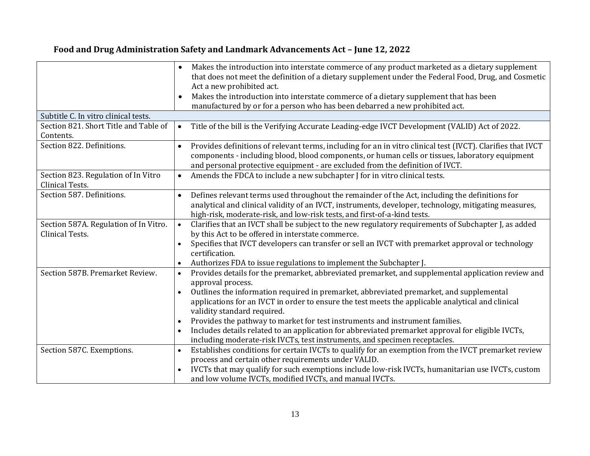|                                                          | Makes the introduction into interstate commerce of any product marketed as a dietary supplement<br>that does not meet the definition of a dietary supplement under the Federal Food, Drug, and Cosmetic<br>Act a new prohibited act.                                                             |
|----------------------------------------------------------|--------------------------------------------------------------------------------------------------------------------------------------------------------------------------------------------------------------------------------------------------------------------------------------------------|
|                                                          | Makes the introduction into interstate commerce of a dietary supplement that has been<br>manufactured by or for a person who has been debarred a new prohibited act.                                                                                                                             |
| Subtitle C. In vitro clinical tests.                     |                                                                                                                                                                                                                                                                                                  |
| Section 821. Short Title and Table of<br>Contents.       | Title of the bill is the Verifying Accurate Leading-edge IVCT Development (VALID) Act of 2022.<br>$\bullet$                                                                                                                                                                                      |
| Section 822. Definitions.                                | Provides definitions of relevant terms, including for an in vitro clinical test (IVCT). Clarifies that IVCT<br>components - including blood, blood components, or human cells or tissues, laboratory equipment<br>and personal protective equipment - are excluded from the definition of IVCT.  |
| Section 823. Regulation of In Vitro<br>Clinical Tests.   | Amends the FDCA to include a new subchapter J for in vitro clinical tests.<br>$\bullet$                                                                                                                                                                                                          |
| Section 587. Definitions.                                | Defines relevant terms used throughout the remainder of the Act, including the definitions for<br>$\bullet$<br>analytical and clinical validity of an IVCT, instruments, developer, technology, mitigating measures,<br>high-risk, moderate-risk, and low-risk tests, and first-of-a-kind tests. |
| Section 587A. Regulation of In Vitro.<br>Clinical Tests. | Clarifies that an IVCT shall be subject to the new regulatory requirements of Subchapter J, as added<br>$\bullet$<br>by this Act to be offered in interstate commerce.                                                                                                                           |
|                                                          | Specifies that IVCT developers can transfer or sell an IVCT with premarket approval or technology<br>$\bullet$<br>certification.                                                                                                                                                                 |
|                                                          | Authorizes FDA to issue regulations to implement the Subchapter J.                                                                                                                                                                                                                               |
| Section 587B. Premarket Review.                          | Provides details for the premarket, abbreviated premarket, and supplemental application review and<br>$\bullet$<br>approval process.                                                                                                                                                             |
|                                                          | Outlines the information required in premarket, abbreviated premarket, and supplemental<br>$\bullet$<br>applications for an IVCT in order to ensure the test meets the applicable analytical and clinical<br>validity standard required.                                                         |
|                                                          | Provides the pathway to market for test instruments and instrument families.<br>$\bullet$                                                                                                                                                                                                        |
|                                                          | Includes details related to an application for abbreviated premarket approval for eligible IVCTs,                                                                                                                                                                                                |
|                                                          | including moderate-risk IVCTs, test instruments, and specimen receptacles.                                                                                                                                                                                                                       |
| Section 587C. Exemptions.                                | Establishes conditions for certain IVCTs to qualify for an exemption from the IVCT premarket review<br>$\bullet$                                                                                                                                                                                 |
|                                                          | process and certain other requirements under VALID.                                                                                                                                                                                                                                              |
|                                                          | IVCTs that may qualify for such exemptions include low-risk IVCTs, humanitarian use IVCTs, custom                                                                                                                                                                                                |
|                                                          | and low volume IVCTs, modified IVCTs, and manual IVCTs.                                                                                                                                                                                                                                          |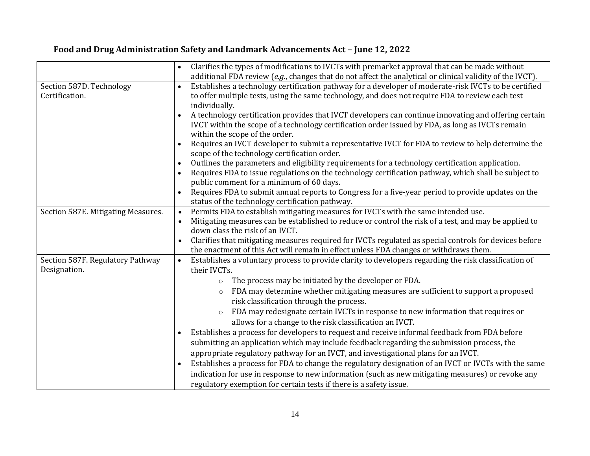|                                    | Clarifies the types of modifications to IVCTs with premarket approval that can be made without                                                     |
|------------------------------------|----------------------------------------------------------------------------------------------------------------------------------------------------|
|                                    | additional FDA review $(e.g.,$ changes that do not affect the analytical or clinical validity of the IVCT).                                        |
| Section 587D. Technology           | Establishes a technology certification pathway for a developer of moderate-risk IVCTs to be certified<br>$\bullet$                                 |
| Certification.                     | to offer multiple tests, using the same technology, and does not require FDA to review each test                                                   |
|                                    | individually.                                                                                                                                      |
|                                    | A technology certification provides that IVCT developers can continue innovating and offering certain                                              |
|                                    | IVCT within the scope of a technology certification order issued by FDA, as long as IVCTs remain                                                   |
|                                    | within the scope of the order.                                                                                                                     |
|                                    | Requires an IVCT developer to submit a representative IVCT for FDA to review to help determine the                                                 |
|                                    | scope of the technology certification order.                                                                                                       |
|                                    | Outlines the parameters and eligibility requirements for a technology certification application.<br>$\bullet$                                      |
|                                    | Requires FDA to issue regulations on the technology certification pathway, which shall be subject to                                               |
|                                    | public comment for a minimum of 60 days.                                                                                                           |
|                                    | Requires FDA to submit annual reports to Congress for a five-year period to provide updates on the<br>$\bullet$                                    |
| Section 587E. Mitigating Measures. | status of the technology certification pathway.<br>Permits FDA to establish mitigating measures for IVCTs with the same intended use.<br>$\bullet$ |
|                                    | Mitigating measures can be established to reduce or control the risk of a test, and may be applied to                                              |
|                                    | $\bullet$<br>down class the risk of an IVCT.                                                                                                       |
|                                    | Clarifies that mitigating measures required for IVCTs regulated as special controls for devices before                                             |
|                                    | the enactment of this Act will remain in effect unless FDA changes or withdraws them.                                                              |
| Section 587F. Regulatory Pathway   | Establishes a voluntary process to provide clarity to developers regarding the risk classification of<br>$\bullet$                                 |
| Designation.                       | their IVCTs.                                                                                                                                       |
|                                    | The process may be initiated by the developer or FDA.<br>$\circ$                                                                                   |
|                                    | FDA may determine whether mitigating measures are sufficient to support a proposed                                                                 |
|                                    | risk classification through the process.                                                                                                           |
|                                    | FDA may redesignate certain IVCTs in response to new information that requires or<br>$\circ$                                                       |
|                                    | allows for a change to the risk classification an IVCT.                                                                                            |
|                                    | Establishes a process for developers to request and receive informal feedback from FDA before                                                      |
|                                    | submitting an application which may include feedback regarding the submission process, the                                                         |
|                                    | appropriate regulatory pathway for an IVCT, and investigational plans for an IVCT.                                                                 |
|                                    | Establishes a process for FDA to change the regulatory designation of an IVCT or IVCTs with the same<br>$\bullet$                                  |
|                                    | indication for use in response to new information (such as new mitigating measures) or revoke any                                                  |
|                                    | regulatory exemption for certain tests if there is a safety issue.                                                                                 |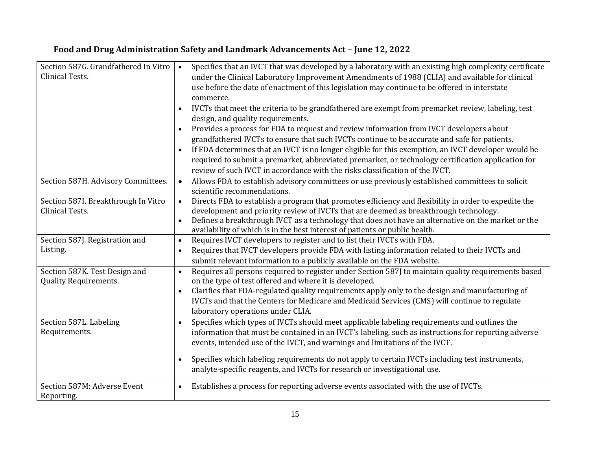| Section 587G. Grandfathered In Vitro<br>Clinical Tests.       | Specifies that an IVCT that was developed by a laboratory with an existing high complexity certificate<br>$\bullet$<br>under the Clinical Laboratory Improvement Amendments of 1988 (CLIA) and available for clinical<br>use before the date of enactment of this legislation may continue to be offered in interstate<br>commerce.<br>IVCTs that meet the criteria to be grandfathered are exempt from premarket review, labeling, test<br>design, and quality requirements.<br>Provides a process for FDA to request and review information from IVCT developers about<br>grandfathered IVCTs to ensure that such IVCTs continue to be accurate and safe for patients.<br>If FDA determines that an IVCT is no longer eligible for this exemption, an IVCT developer would be<br>$\bullet$ |
|---------------------------------------------------------------|----------------------------------------------------------------------------------------------------------------------------------------------------------------------------------------------------------------------------------------------------------------------------------------------------------------------------------------------------------------------------------------------------------------------------------------------------------------------------------------------------------------------------------------------------------------------------------------------------------------------------------------------------------------------------------------------------------------------------------------------------------------------------------------------|
|                                                               | required to submit a premarket, abbreviated premarket, or technology certification application for<br>review of such IVCT in accordance with the risks classification of the IVCT.                                                                                                                                                                                                                                                                                                                                                                                                                                                                                                                                                                                                           |
| Section 587H. Advisory Committees.                            | Allows FDA to establish advisory committees or use previously established committees to solicit<br>$\bullet$<br>scientific recommendations.                                                                                                                                                                                                                                                                                                                                                                                                                                                                                                                                                                                                                                                  |
| Section 587I. Breakthrough In Vitro<br>Clinical Tests.        | Directs FDA to establish a program that promotes efficiency and flexibility in order to expedite the<br>$\bullet$<br>development and priority review of IVCTs that are deemed as breakthrough technology.<br>Defines a breakthrough IVCT as a technology that does not have an alternative on the market or the<br>$\bullet$<br>availability of which is in the best interest of patients or public health.                                                                                                                                                                                                                                                                                                                                                                                  |
| Section 587J. Registration and<br>Listing.                    | Requires IVCT developers to register and to list their IVCTs with FDA.<br>$\bullet$<br>Requires that IVCT developers provide FDA with listing information related to their IVCTs and<br>$\bullet$<br>submit relevant information to a publicly available on the FDA website.                                                                                                                                                                                                                                                                                                                                                                                                                                                                                                                 |
| Section 587K. Test Design and<br><b>Quality Requirements.</b> | Requires all persons required to register under Section 587J to maintain quality requirements based<br>$\bullet$<br>on the type of test offered and where it is developed.<br>Clarifies that FDA-regulated quality requirements apply only to the design and manufacturing of<br>$\bullet$<br>IVCTs and that the Centers for Medicare and Medicaid Services (CMS) will continue to regulate<br>laboratory operations under CLIA.                                                                                                                                                                                                                                                                                                                                                             |
| Section 587L. Labeling<br>Requirements.                       | Specifies which types of IVCTs should meet applicable labeling requirements and outlines the<br>$\bullet$<br>information that must be contained in an IVCT's labeling, such as instructions for reporting adverse<br>events, intended use of the IVCT, and warnings and limitations of the IVCT.<br>Specifies which labeling requirements do not apply to certain IVCTs including test instruments,<br>$\bullet$<br>analyte-specific reagents, and IVCTs for research or investigational use.                                                                                                                                                                                                                                                                                                |
| Section 587M: Adverse Event<br>Reporting.                     | Establishes a process for reporting adverse events associated with the use of IVCTs.<br>$\bullet$                                                                                                                                                                                                                                                                                                                                                                                                                                                                                                                                                                                                                                                                                            |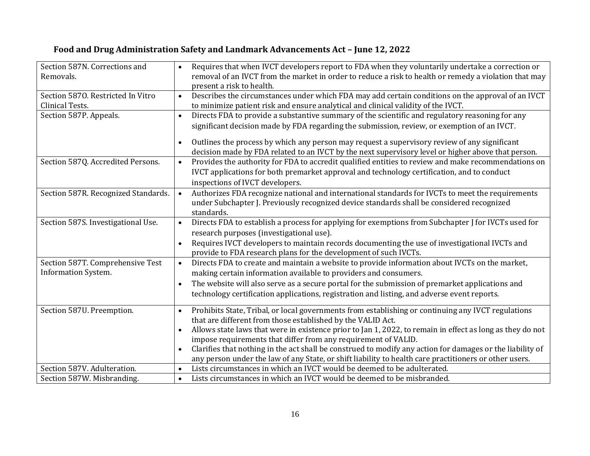#### Section 587N. Corrections and Removals. Requires that when IVCT developers report to FDA when they voluntarily undertake a correction or removal of an IVCT from the market in order to reduce a risk to health or remedy a violation that may present a risk to health. Section 587O. Restricted In Vitro Clinical Tests. Describes the circumstances under which FDA may add certain conditions on the approval of an IVCT to minimize patient risk and ensure analytical and clinical validity of the IVCT. Section 587P. Appeals.  $\bullet$  Directs FDA to provide a substantive summary of the scientific and regulatory reasoning for any significant decision made by FDA regarding the submission, review, or exemption of an IVCT. Outlines the process by which any person may request a supervisory review of any significant decision made by FDA related to an IVCT by the next supervisory level or higher above that person. Section 587Q. Accredited Persons.  $\cdot \cdot$  Provides the authority for FDA to accredit qualified entities to review and make recommendations on IVCT applications for both premarket approval and technology certification, and to conduct inspections of IVCT developers. Section 587R. Recognized Standards.  $\bullet$  Authorizes FDA recognize national and international standards for IVCTs to meet the requirements under Subchapter J. Previously recognized device standards shall be considered recognized standards. Section 587S. Investigational Use.  $\bullet$  Directs FDA to establish a process for applying for exemptions from Subchapter I for IVCTs used for research purposes (investigational use). Requires IVCT developers to maintain records documenting the use of investigational IVCTs and provide to FDA research plans for the development of such IVCTs. Section 587T. Comprehensive Test Information System. Directs FDA to create and maintain a website to provide information about IVCTs on the market, making certain information available to providers and consumers. The website will also serve as a secure portal for the submission of premarket applications and technology certification applications, registration and listing, and adverse event reports. Section 587U. Preemption. **•** Prohibits State, Tribal, or local governments from establishing or continuing any IVCT regulations that are different from those established by the VALID Act. Allows state laws that were in existence prior to Jan 1, 2022, to remain in effect as long as they do not impose requirements that differ from any requirement of VALID. Clarifies that nothing in the act shall be construed to modify any action for damages or the liability of any person under the law of any State, or shift liability to health care practitioners or other users. Section 587V. Adulteration.  $\cdot$  Lists circumstances in which an IVCT would be deemed to be adulterated. Section 587W. Misbranding.  $\cdot$  Lists circumstances in which an IVCT would be deemed to be misbranded.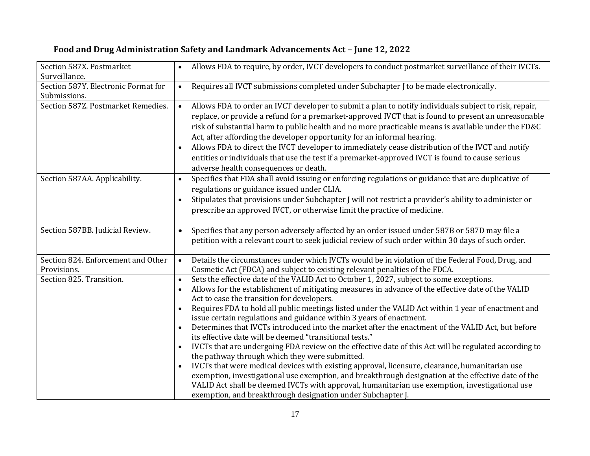| Section 587X. Postmarket                          | Allows FDA to require, by order, IVCT developers to conduct postmarket surveillance of their IVCTs.                                                                                                                                                                                                                                                                                                                                                                                                                                                                                                                                                                                                                                                                                                                                                                                                                                                                                                                                                                                                                                                                               |
|---------------------------------------------------|-----------------------------------------------------------------------------------------------------------------------------------------------------------------------------------------------------------------------------------------------------------------------------------------------------------------------------------------------------------------------------------------------------------------------------------------------------------------------------------------------------------------------------------------------------------------------------------------------------------------------------------------------------------------------------------------------------------------------------------------------------------------------------------------------------------------------------------------------------------------------------------------------------------------------------------------------------------------------------------------------------------------------------------------------------------------------------------------------------------------------------------------------------------------------------------|
| Surveillance.                                     |                                                                                                                                                                                                                                                                                                                                                                                                                                                                                                                                                                                                                                                                                                                                                                                                                                                                                                                                                                                                                                                                                                                                                                                   |
| Section 587Y. Electronic Format for               | Requires all IVCT submissions completed under Subchapter J to be made electronically.<br>$\bullet$                                                                                                                                                                                                                                                                                                                                                                                                                                                                                                                                                                                                                                                                                                                                                                                                                                                                                                                                                                                                                                                                                |
| Submissions.                                      |                                                                                                                                                                                                                                                                                                                                                                                                                                                                                                                                                                                                                                                                                                                                                                                                                                                                                                                                                                                                                                                                                                                                                                                   |
| Section 587Z. Postmarket Remedies.                | Allows FDA to order an IVCT developer to submit a plan to notify individuals subject to risk, repair,<br>$\bullet$<br>replace, or provide a refund for a premarket-approved IVCT that is found to present an unreasonable<br>risk of substantial harm to public health and no more practicable means is available under the FD&C<br>Act, after affording the developer opportunity for an informal hearing.<br>Allows FDA to direct the IVCT developer to immediately cease distribution of the IVCT and notify<br>entities or individuals that use the test if a premarket-approved IVCT is found to cause serious<br>adverse health consequences or death.                                                                                                                                                                                                                                                                                                                                                                                                                                                                                                                      |
| Section 587AA. Applicability.                     | Specifies that FDA shall avoid issuing or enforcing regulations or guidance that are duplicative of<br>$\bullet$<br>regulations or guidance issued under CLIA.<br>Stipulates that provisions under Subchapter J will not restrict a provider's ability to administer or<br>$\bullet$<br>prescribe an approved IVCT, or otherwise limit the practice of medicine.                                                                                                                                                                                                                                                                                                                                                                                                                                                                                                                                                                                                                                                                                                                                                                                                                  |
| Section 587BB. Judicial Review.                   | Specifies that any person adversely affected by an order issued under 587B or 587D may file a<br>$\bullet$<br>petition with a relevant court to seek judicial review of such order within 30 days of such order.                                                                                                                                                                                                                                                                                                                                                                                                                                                                                                                                                                                                                                                                                                                                                                                                                                                                                                                                                                  |
| Section 824. Enforcement and Other<br>Provisions. | Details the circumstances under which IVCTs would be in violation of the Federal Food, Drug, and<br>$\bullet$<br>Cosmetic Act (FDCA) and subject to existing relevant penalties of the FDCA.                                                                                                                                                                                                                                                                                                                                                                                                                                                                                                                                                                                                                                                                                                                                                                                                                                                                                                                                                                                      |
| Section 825. Transition.                          | Sets the effective date of the VALID Act to October 1, 2027, subject to some exceptions.<br>$\bullet$<br>Allows for the establishment of mitigating measures in advance of the effective date of the VALID<br>Act to ease the transition for developers.<br>Requires FDA to hold all public meetings listed under the VALID Act within 1 year of enactment and<br>$\bullet$<br>issue certain regulations and guidance within 3 years of enactment.<br>Determines that IVCTs introduced into the market after the enactment of the VALID Act, but before<br>its effective date will be deemed "transitional tests."<br>IVCTs that are undergoing FDA review on the effective date of this Act will be regulated according to<br>$\bullet$<br>the pathway through which they were submitted.<br>IVCTs that were medical devices with existing approval, licensure, clearance, humanitarian use<br>$\bullet$<br>exemption, investigational use exemption, and breakthrough designation at the effective date of the<br>VALID Act shall be deemed IVCTs with approval, humanitarian use exemption, investigational use<br>exemption, and breakthrough designation under Subchapter J. |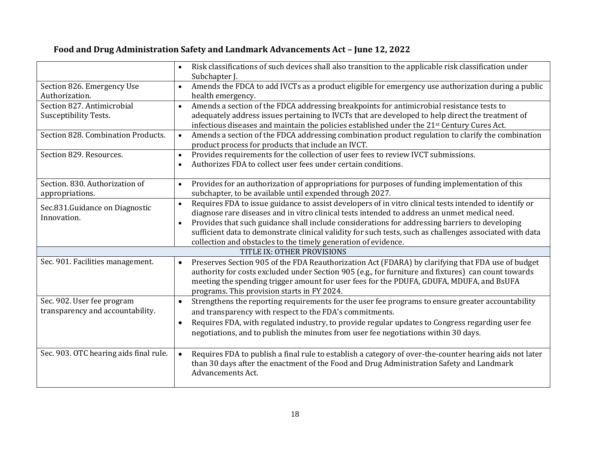#### Risk classifications of such devices shall also transition to the applicable risk classification under Subchapter J. Section 826. Emergency Use Authorization. Amends the FDCA to add IVCTs as a product eligible for emergency use authorization during a public health emergency. Section 827. Antimicrobial Susceptibility Tests. Amends a section of the FDCA addressing breakpoints for antimicrobial resistance tests to adequately address issues pertaining to IVCTs that are developed to help direct the treatment of infectious diseases and maintain the policies established under the 21st Century Cures Act. Section 828. Combination Products.  $\cdot \cdot$  Amends a section of the FDCA addressing combination product regulation to clarify the combination product process for products that include an IVCT. Section 829. Resources.  $\cdot$  Provides requirements for the collection of user fees to review IVCT submissions. Authorizes FDA to collect user fees under certain conditions. Section. 830. Authorization of appropriations. Provides for an authorization of appropriations for purposes of funding implementation of this subchapter, to be available until expended through 2027. Sec.831.Guidance on Diagnostic Innovation. Requires FDA to issue guidance to assist developers of in vitro clinical tests intended to identify or diagnose rare diseases and in vitro clinical tests intended to address an unmet medical need. Provides that such guidance shall include considerations for addressing barriers to developing sufficient data to demonstrate clinical validity for such tests, such as challenges associated with data collection and obstacles to the timely generation of evidence. TITLE IX: OTHER PROVISIONS Sec. 901. Facilities management.  $\bullet$  Preserves Section 905 of the FDA Reauthorization Act (FDARA) by clarifying that FDA use of budget authority for costs excluded under Section 905 (e.g., for furniture and fixtures) can count towards meeting the spending trigger amount for user fees for the PDUFA, GDUFA, MDUFA, and BsUFA programs. This provision starts in FY 2024. Sec. 902. User fee program transparency and accountability. Strengthens the reporting requirements for the user fee programs to ensure greater accountability and transparency with respect to the FDA's commitments. Requires FDA, with regulated industry, to provide regular updates to Congress regarding user fee negotiations, and to publish the minutes from user fee negotiations within 30 days. Sec. 903. OTC hearing aids final rule.  $\bullet$  Requires FDA to publish a final rule to establish a category of over-the-counter hearing aids not later than 30 days after the enactment of the Food and Drug Administration Safety and Landmark Advancements Act.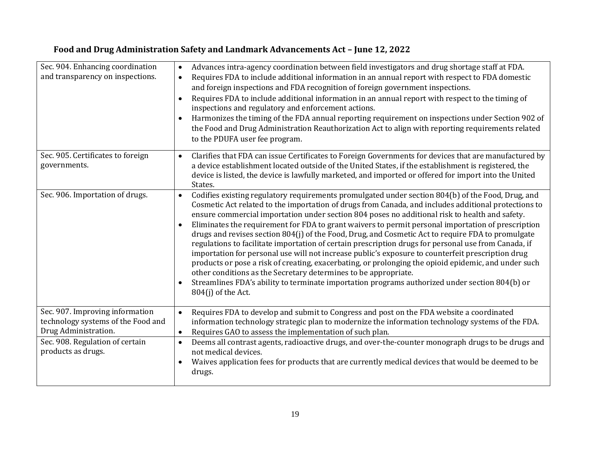| Sec. 904. Enhancing coordination<br>and transparency on inspections.                          | Advances intra-agency coordination between field investigators and drug shortage staff at FDA.<br>$\bullet$<br>Requires FDA to include additional information in an annual report with respect to FDA domestic<br>$\bullet$<br>and foreign inspections and FDA recognition of foreign government inspections.<br>Requires FDA to include additional information in an annual report with respect to the timing of<br>inspections and regulatory and enforcement actions.<br>Harmonizes the timing of the FDA annual reporting requirement on inspections under Section 902 of<br>the Food and Drug Administration Reauthorization Act to align with reporting requirements related<br>to the PDUFA user fee program.                                                                                                                                                                                                                                                                                                                                             |
|-----------------------------------------------------------------------------------------------|------------------------------------------------------------------------------------------------------------------------------------------------------------------------------------------------------------------------------------------------------------------------------------------------------------------------------------------------------------------------------------------------------------------------------------------------------------------------------------------------------------------------------------------------------------------------------------------------------------------------------------------------------------------------------------------------------------------------------------------------------------------------------------------------------------------------------------------------------------------------------------------------------------------------------------------------------------------------------------------------------------------------------------------------------------------|
| Sec. 905. Certificates to foreign<br>governments.                                             | Clarifies that FDA can issue Certificates to Foreign Governments for devices that are manufactured by<br>$\bullet$<br>a device establishment located outside of the United States, if the establishment is registered, the<br>device is listed, the device is lawfully marketed, and imported or offered for import into the United<br>States.                                                                                                                                                                                                                                                                                                                                                                                                                                                                                                                                                                                                                                                                                                                   |
| Sec. 906. Importation of drugs.                                                               | Codifies existing regulatory requirements promulgated under section 804(b) of the Food, Drug, and<br>$\bullet$<br>Cosmetic Act related to the importation of drugs from Canada, and includes additional protections to<br>ensure commercial importation under section 804 poses no additional risk to health and safety.<br>Eliminates the requirement for FDA to grant waivers to permit personal importation of prescription<br>drugs and revises section 804(j) of the Food, Drug, and Cosmetic Act to require FDA to promulgate<br>regulations to facilitate importation of certain prescription drugs for personal use from Canada, if<br>importation for personal use will not increase public's exposure to counterfeit prescription drug<br>products or pose a risk of creating, exacerbating, or prolonging the opioid epidemic, and under such<br>other conditions as the Secretary determines to be appropriate.<br>Streamlines FDA's ability to terminate importation programs authorized under section 804(b) or<br>$\bullet$<br>804(j) of the Act. |
| Sec. 907. Improving information<br>technology systems of the Food and<br>Drug Administration. | Requires FDA to develop and submit to Congress and post on the FDA website a coordinated<br>$\bullet$<br>information technology strategic plan to modernize the information technology systems of the FDA.<br>Requires GAO to assess the implementation of such plan.<br>$\bullet$                                                                                                                                                                                                                                                                                                                                                                                                                                                                                                                                                                                                                                                                                                                                                                               |
| Sec. 908. Regulation of certain<br>products as drugs.                                         | Deems all contrast agents, radioactive drugs, and over-the-counter monograph drugs to be drugs and<br>$\bullet$<br>not medical devices.<br>Waives application fees for products that are currently medical devices that would be deemed to be<br>$\bullet$<br>drugs.                                                                                                                                                                                                                                                                                                                                                                                                                                                                                                                                                                                                                                                                                                                                                                                             |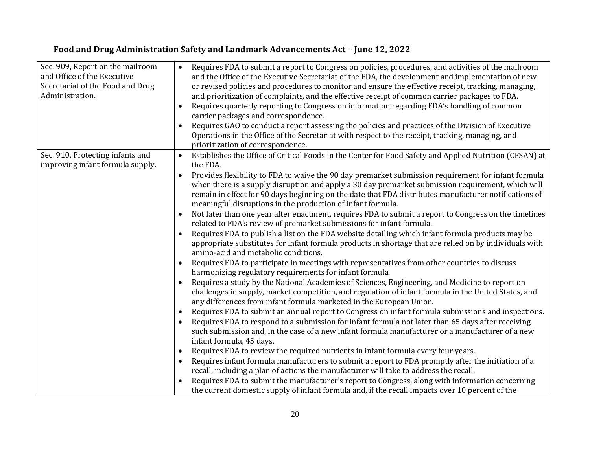| Sec. 909, Report on the mailroom<br>and Office of the Executive<br>Secretariat of the Food and Drug<br>Administration. | Requires FDA to submit a report to Congress on policies, procedures, and activities of the mailroom<br>$\bullet$<br>and the Office of the Executive Secretariat of the FDA, the development and implementation of new<br>or revised policies and procedures to monitor and ensure the effective receipt, tracking, managing,<br>and prioritization of complaints, and the effective receipt of common carrier packages to FDA.<br>Requires quarterly reporting to Congress on information regarding FDA's handling of common<br>carrier packages and correspondence.<br>Requires GAO to conduct a report assessing the policies and practices of the Division of Executive<br>Operations in the Office of the Secretariat with respect to the receipt, tracking, managing, and<br>prioritization of correspondence. |
|------------------------------------------------------------------------------------------------------------------------|---------------------------------------------------------------------------------------------------------------------------------------------------------------------------------------------------------------------------------------------------------------------------------------------------------------------------------------------------------------------------------------------------------------------------------------------------------------------------------------------------------------------------------------------------------------------------------------------------------------------------------------------------------------------------------------------------------------------------------------------------------------------------------------------------------------------|
| Sec. 910. Protecting infants and<br>improving infant formula supply.                                                   | Establishes the Office of Critical Foods in the Center for Food Safety and Applied Nutrition (CFSAN) at<br>$\bullet$<br>the FDA.                                                                                                                                                                                                                                                                                                                                                                                                                                                                                                                                                                                                                                                                                    |
|                                                                                                                        | Provides flexibility to FDA to waive the 90 day premarket submission requirement for infant formula<br>$\bullet$<br>when there is a supply disruption and apply a 30 day premarket submission requirement, which will<br>remain in effect for 90 days beginning on the date that FDA distributes manufacturer notifications of<br>meaningful disruptions in the production of infant formula.                                                                                                                                                                                                                                                                                                                                                                                                                       |
|                                                                                                                        | Not later than one year after enactment, requires FDA to submit a report to Congress on the timelines<br>related to FDA's review of premarket submissions for infant formula.                                                                                                                                                                                                                                                                                                                                                                                                                                                                                                                                                                                                                                       |
|                                                                                                                        | Requires FDA to publish a list on the FDA website detailing which infant formula products may be<br>appropriate substitutes for infant formula products in shortage that are relied on by individuals with<br>amino-acid and metabolic conditions.                                                                                                                                                                                                                                                                                                                                                                                                                                                                                                                                                                  |
|                                                                                                                        | Requires FDA to participate in meetings with representatives from other countries to discuss<br>harmonizing regulatory requirements for infant formula.                                                                                                                                                                                                                                                                                                                                                                                                                                                                                                                                                                                                                                                             |
|                                                                                                                        | Requires a study by the National Academies of Sciences, Engineering, and Medicine to report on<br>challenges in supply, market competition, and regulation of infant formula in the United States, and<br>any differences from infant formula marketed in the European Union.                                                                                                                                                                                                                                                                                                                                                                                                                                                                                                                                       |
|                                                                                                                        | Requires FDA to submit an annual report to Congress on infant formula submissions and inspections.<br>$\bullet$                                                                                                                                                                                                                                                                                                                                                                                                                                                                                                                                                                                                                                                                                                     |
|                                                                                                                        | Requires FDA to respond to a submission for infant formula not later than 65 days after receiving<br>such submission and, in the case of a new infant formula manufacturer or a manufacturer of a new<br>infant formula, 45 days.                                                                                                                                                                                                                                                                                                                                                                                                                                                                                                                                                                                   |
|                                                                                                                        | Requires FDA to review the required nutrients in infant formula every four years.<br>$\bullet$                                                                                                                                                                                                                                                                                                                                                                                                                                                                                                                                                                                                                                                                                                                      |
|                                                                                                                        | Requires infant formula manufacturers to submit a report to FDA promptly after the initiation of a                                                                                                                                                                                                                                                                                                                                                                                                                                                                                                                                                                                                                                                                                                                  |
|                                                                                                                        | recall, including a plan of actions the manufacturer will take to address the recall.                                                                                                                                                                                                                                                                                                                                                                                                                                                                                                                                                                                                                                                                                                                               |
|                                                                                                                        | Requires FDA to submit the manufacturer's report to Congress, along with information concerning<br>the current domestic supply of infant formula and, if the recall impacts over 10 percent of the                                                                                                                                                                                                                                                                                                                                                                                                                                                                                                                                                                                                                  |